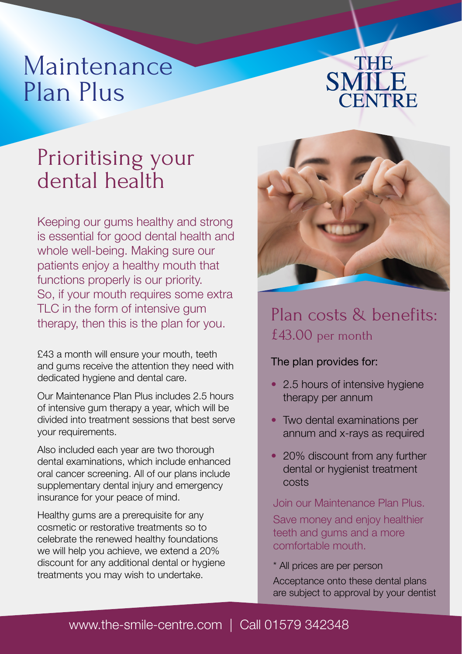# Maintenance Plan Plus



## Prioritising your dental health

Keeping our gums healthy and strong is essential for good dental health and whole well-being. Making sure our patients enjoy a healthy mouth that functions properly is our priority. So, if your mouth requires some extra TLC in the form of intensive gum therapy, then this is the plan for you.

£43 a month will ensure your mouth, teeth and gums receive the attention they need with dedicated hygiene and dental care.

Our Maintenance Plan Plus includes 2.5 hours of intensive gum therapy a year, which will be divided into treatment sessions that best serve your requirements.

Also included each year are two thorough dental examinations, which include enhanced oral cancer screening. All of our plans include supplementary dental injury and emergency insurance for your peace of mind.

Healthy gums are a prerequisite for any cosmetic or restorative treatments so to celebrate the renewed healthy foundations we will help you achieve, we extend a 20% discount for any additional dental or hygiene treatments you may wish to undertake.



### Plan costs & benefits: £43.00 per month

### The plan provides for:

- 2.5 hours of intensive hygiene therapy per annum
- Two dental examinations per annum and x-rays as required
- 20% discount from any further dental or hygienist treatment costs

Join our Maintenance Plan Plus. Save money and enjoy healthier teeth and gums and a more comfortable mouth.

\* All prices are per person

Acceptance onto these dental plans are subject to approval by your dentist